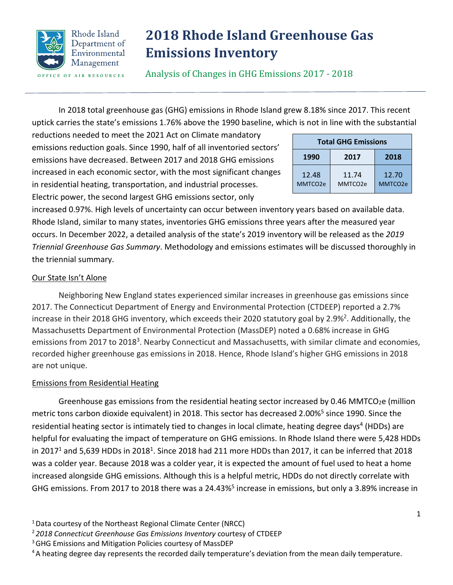

# **2018 Rhode Island Greenhouse Gas Emissions Inventory**

Analysis of Changes in GHG Emissions 2017 - 2018

In 2018 total greenhouse gas (GHG) emissions in Rhode Island grew 8.18% since 2017. This recent uptick carries the state's emissions 1.76% above the 1990 baseline, which is not in line with the substantial

reductions needed to meet the 2021 Act on Climate mandatory emissions reduction goals. Since 1990, half of all inventoried sectors' emissions have decreased. Between 2017 and 2018 GHG emissions increased in each economic sector, with the most significant changes in residential heating, transportation, and industrial processes.

Electric power, the second largest GHG emissions sector, only

increased 0.97%. High levels of uncertainty can occur between inventory years based on available data. Rhode Island, similar to many states, inventories GHG emissions three years after the measured year occurs. In December 2022, a detailed analysis of the state's 2019 inventory will be released as the *2019 Triennial Greenhouse Gas Summary*. Methodology and emissions estimates will be discussed thoroughly in the triennial summary.

## Our State Isn't Alone

Neighboring New England states experienced similar increases in greenhouse gas emissions since 2017. The Connecticut Department of Energy and Environmental Protection (CTDEEP) reported a 2.7% increase in their 2018 GHG inventory, which exceeds their 2020 statutory goal by 2.9%<sup>2</sup>. Additionally, the Massachusetts Department of Environmental Protection (MassDEP) noted a 0.68% increase in GHG emissions from 2017 to 2018<sup>3</sup>. Nearby Connecticut and Massachusetts, with similar climate and economies, recorded higher greenhouse gas emissions in 2018. Hence, Rhode Island's higher GHG emissions in 2018 are not unique.

### Emissions from Residential Heating

Greenhouse gas emissions from the residential heating sector increased by 0.46 MMTCO<sub>2</sub>e (million metric tons carbon dioxide equivalent) in 2018. This sector has decreased 2.00%<sup>5</sup> since 1990. Since the residential heating sector is intimately tied to changes in local climate, heating degree days<sup>4</sup> (HDDs) are helpful for evaluating the impact of temperature on GHG emissions. In Rhode Island there were 5,428 HDDs in 2017<sup>1</sup> and 5,639 HDDs in 2018<sup>1</sup>. Since 2018 had 211 more HDDs than 2017, it can be inferred that 2018 was a colder year. Because 2018 was a colder year, it is expected the amount of fuel used to heat a home increased alongside GHG emissions. Although this is a helpful metric, HDDs do not directly correlate with GHG emissions. From 2017 to 2018 there was a 24.43%<sup>5</sup> increase in emissions, but only a 3.89% increase in

<sup>4</sup> A heating degree day represents the recorded daily temperature's deviation from the mean daily temperature.

| <b>Total GHG Emissions</b> |                              |                  |  |  |
|----------------------------|------------------------------|------------------|--|--|
| 1990                       | 2017                         | 2018             |  |  |
| 12.48<br>MMTCO2e           | 11.74<br>MMTCO <sub>2e</sub> | 12.70<br>MMTCO2e |  |  |

<sup>&</sup>lt;sup>1</sup> Data courtesy of the Northeast Regional Climate Center (NRCC)

<sup>2</sup> *2018 Connecticut Greenhouse Gas Emissions Inventory* courtesy of CTDEEP

<sup>&</sup>lt;sup>3</sup> GHG Emissions and Mitigation Policies courtesy of MassDEP